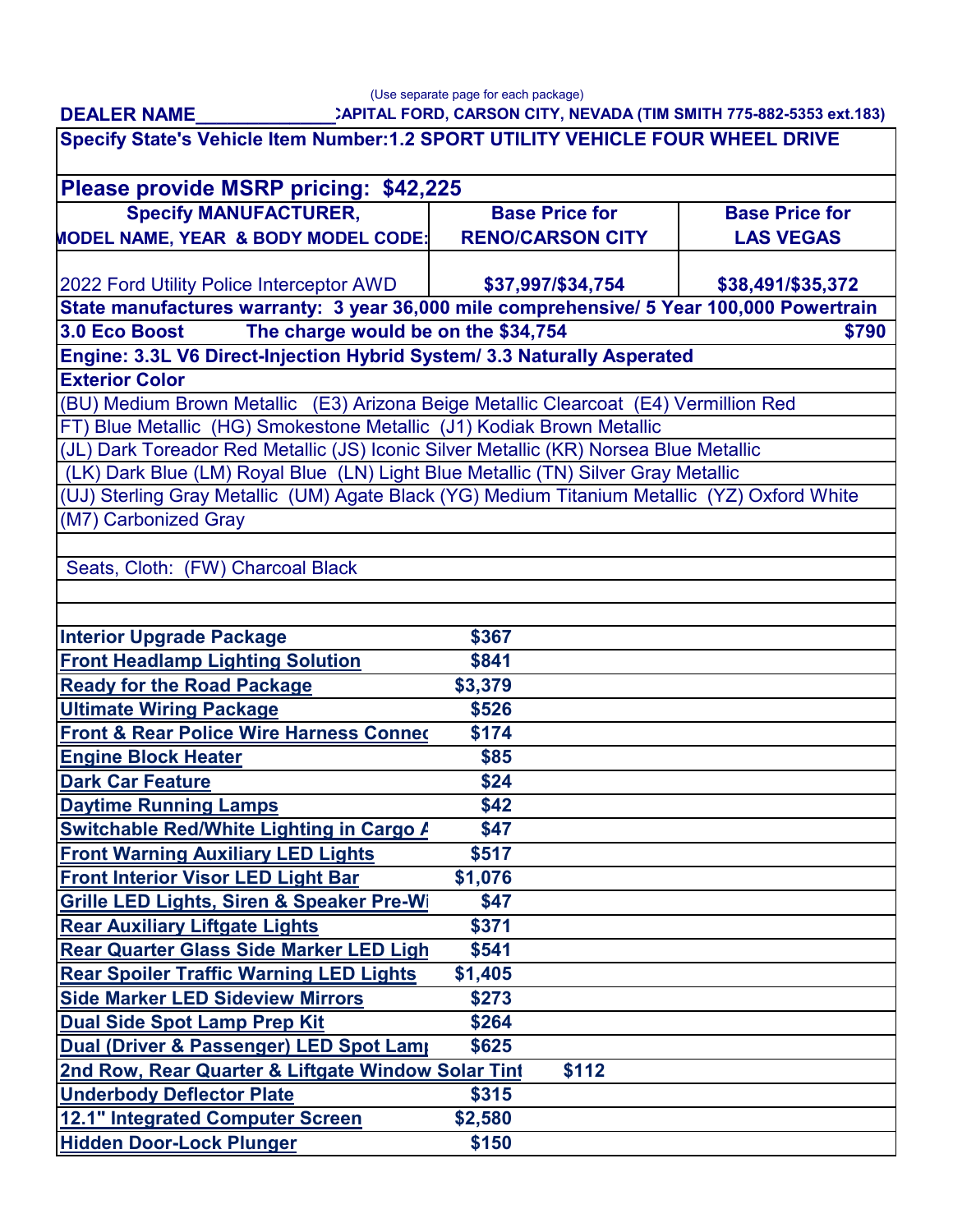**DEALER NAME\_\_\_\_\_\_\_\_\_\_\_\_\_\_**

## **CAPITAL FORD, CARSON CITY, NEVADA (TIM SMITH 775-882-5353 ext.183)** (Use separate page for each package)

| $\frac{1}{2}$ . The state of $\frac{1}{2}$ is the state of $\frac{1}{2}$ . The state of $\frac{1}{2}$<br>Specify State's Vehicle Item Number:1.2 SPORT UTILITY VEHICLE FOUR WHEEL DRIVE |         |                         |                       |  |
|-----------------------------------------------------------------------------------------------------------------------------------------------------------------------------------------|---------|-------------------------|-----------------------|--|
|                                                                                                                                                                                         |         |                         |                       |  |
| Please provide MSRP pricing: \$42,225                                                                                                                                                   |         |                         |                       |  |
| <b>Specify MANUFACTURER,</b>                                                                                                                                                            |         | <b>Base Price for</b>   | <b>Base Price for</b> |  |
| MODEL NAME, YEAR & BODY MODEL CODE:                                                                                                                                                     |         | <b>RENO/CARSON CITY</b> | <b>LAS VEGAS</b>      |  |
| 2022 Ford Utility Police Interceptor AWD                                                                                                                                                |         | \$37,997/\$34,754       | \$38,491/\$35,372     |  |
| State manufactures warranty: 3 year 36,000 mile comprehensive/ 5 Year 100,000 Powertrain                                                                                                |         |                         |                       |  |
| The charge would be on the \$34,754<br><b>3.0 Eco Boost</b><br>\$790                                                                                                                    |         |                         |                       |  |
| Engine: 3.3L V6 Direct-Injection Hybrid System/ 3.3 Naturally Asperated                                                                                                                 |         |                         |                       |  |
| <b>Exterior Color</b>                                                                                                                                                                   |         |                         |                       |  |
| (BU) Medium Brown Metallic (E3) Arizona Beige Metallic Clearcoat (E4) Vermillion Red                                                                                                    |         |                         |                       |  |
| FT) Blue Metallic (HG) Smokestone Metallic (J1) Kodiak Brown Metallic                                                                                                                   |         |                         |                       |  |
| (JL) Dark Toreador Red Metallic (JS) Iconic Silver Metallic (KR) Norsea Blue Metallic                                                                                                   |         |                         |                       |  |
| (LK) Dark Blue (LM) Royal Blue (LN) Light Blue Metallic (TN) Silver Gray Metallic                                                                                                       |         |                         |                       |  |
| (UJ) Sterling Gray Metallic (UM) Agate Black (YG) Medium Titanium Metallic (YZ) Oxford White                                                                                            |         |                         |                       |  |
| (M7) Carbonized Gray                                                                                                                                                                    |         |                         |                       |  |
|                                                                                                                                                                                         |         |                         |                       |  |
| Seats, Cloth: (FW) Charcoal Black                                                                                                                                                       |         |                         |                       |  |
|                                                                                                                                                                                         |         |                         |                       |  |
|                                                                                                                                                                                         |         |                         |                       |  |
| <b>Interior Upgrade Package</b>                                                                                                                                                         | \$367   |                         |                       |  |
| <b>Front Headlamp Lighting Solution</b>                                                                                                                                                 | \$841   |                         |                       |  |
| <b>Ready for the Road Package</b>                                                                                                                                                       | \$3,379 |                         |                       |  |
| <b>Ultimate Wiring Package</b>                                                                                                                                                          | \$526   |                         |                       |  |
| <b>Front &amp; Rear Police Wire Harness Connec</b>                                                                                                                                      | \$174   |                         |                       |  |
| <b>Engine Block Heater</b>                                                                                                                                                              | \$85    |                         |                       |  |
| <b>Dark Car Feature</b>                                                                                                                                                                 | \$24    |                         |                       |  |
| <b>Daytime Running Lamps</b>                                                                                                                                                            | \$42    |                         |                       |  |
| <b>Switchable Red/White Lighting in Cargo A</b>                                                                                                                                         | \$47    |                         |                       |  |
| <b>Front Warning Auxiliary LED Lights</b>                                                                                                                                               | \$517   |                         |                       |  |
| Front Interior Visor LED Light Bar                                                                                                                                                      | \$1,076 |                         |                       |  |
| <b>Grille LED Lights, Siren &amp; Speaker Pre-Wi</b>                                                                                                                                    | \$47    |                         |                       |  |
| <b>Rear Auxiliary Liftgate Lights</b>                                                                                                                                                   | \$371   |                         |                       |  |
| <b>Rear Quarter Glass Side Marker LED Ligh</b>                                                                                                                                          | \$541   |                         |                       |  |
| <b>Rear Spoiler Traffic Warning LED Lights</b>                                                                                                                                          | \$1,405 |                         |                       |  |
| <b>Side Marker LED Sideview Mirrors</b>                                                                                                                                                 | \$273   |                         |                       |  |
| Dual Side Spot Lamp Prep Kit                                                                                                                                                            | \$264   |                         |                       |  |
| Dual (Driver & Passenger) LED Spot Lamp                                                                                                                                                 | \$625   |                         |                       |  |
| 2nd Row, Rear Quarter & Liftgate Window Solar Tint<br>\$112                                                                                                                             |         |                         |                       |  |
| <b>Underbody Deflector Plate</b>                                                                                                                                                        | \$315   |                         |                       |  |
| <b>12.1" Integrated Computer Screen</b>                                                                                                                                                 | \$2,580 |                         |                       |  |
| <b>Hidden Door-Lock Plunger</b>                                                                                                                                                         | \$150   |                         |                       |  |